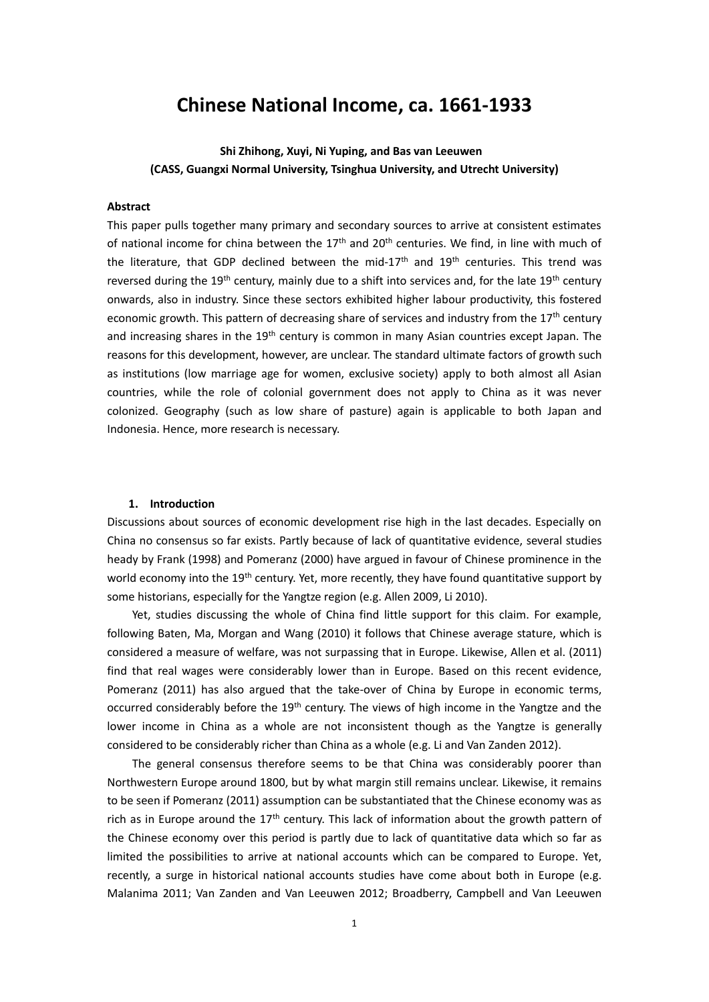# **Chinese National Income, ca. 1661-1933**

## **Shi Zhihong, Xuyi, Ni Yuping, and Bas van Leeuwen (CASS, Guangxi Normal University, Tsinghua University, and Utrecht University)**

#### **Abstract**

This paper pulls together many primary and secondary sources to arrive at consistent estimates of national income for china between the  $17<sup>th</sup>$  and  $20<sup>th</sup>$  centuries. We find, in line with much of the literature, that GDP declined between the mid-17<sup>th</sup> and  $19<sup>th</sup>$  centuries. This trend was reversed during the 19<sup>th</sup> century, mainly due to a shift into services and, for the late 19<sup>th</sup> century onwards, also in industry. Since these sectors exhibited higher labour productivity, this fostered economic growth. This pattern of decreasing share of services and industry from the 17<sup>th</sup> century and increasing shares in the 19<sup>th</sup> century is common in many Asian countries except Japan. The reasons for this development, however, are unclear. The standard ultimate factors of growth such as institutions (low marriage age for women, exclusive society) apply to both almost all Asian countries, while the role of colonial government does not apply to China as it was never colonized. Geography (such as low share of pasture) again is applicable to both Japan and Indonesia. Hence, more research is necessary.

#### **1. Introduction**

Discussions about sources of economic development rise high in the last decades. Especially on China no consensus so far exists. Partly because of lack of quantitative evidence, several studies heady by Frank (1998) and Pomeranz (2000) have argued in favour of Chinese prominence in the world economy into the 19<sup>th</sup> century. Yet, more recently, they have found quantitative support by some historians, especially for the Yangtze region (e.g. Allen 2009, Li 2010).

Yet, studies discussing the whole of China find little support for this claim. For example, following Baten, Ma, Morgan and Wang (2010) it follows that Chinese average stature, which is considered a measure of welfare, was not surpassing that in Europe. Likewise, Allen et al. (2011) find that real wages were considerably lower than in Europe. Based on this recent evidence, Pomeranz (2011) has also argued that the take-over of China by Europe in economic terms, occurred considerably before the 19<sup>th</sup> century. The views of high income in the Yangtze and the lower income in China as a whole are not inconsistent though as the Yangtze is generally considered to be considerably richer than China as a whole (e.g. Li and Van Zanden 2012).

The general consensus therefore seems to be that China was considerably poorer than Northwestern Europe around 1800, but by what margin still remains unclear. Likewise, it remains to be seen if Pomeranz (2011) assumption can be substantiated that the Chinese economy was as rich as in Europe around the  $17<sup>th</sup>$  century. This lack of information about the growth pattern of the Chinese economy over this period is partly due to lack of quantitative data which so far as limited the possibilities to arrive at national accounts which can be compared to Europe. Yet, recently, a surge in historical national accounts studies have come about both in Europe (e.g. Malanima 2011; Van Zanden and Van Leeuwen 2012; Broadberry, Campbell and Van Leeuwen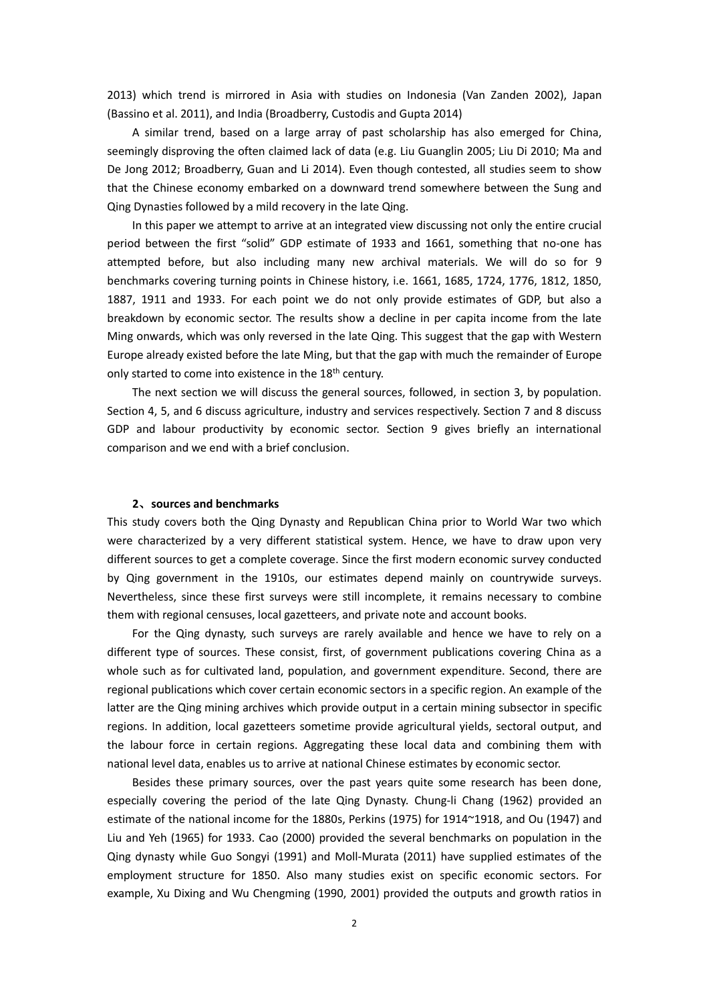2013) which trend is mirrored in Asia with studies on Indonesia (Van Zanden 2002), Japan (Bassino et al. 2011), and India (Broadberry, Custodis and Gupta 2014)

A similar trend, based on a large array of past scholarship has also emerged for China, seemingly disproving the often claimed lack of data (e.g. Liu Guanglin 2005; Liu Di 2010; Ma and De Jong 2012; Broadberry, Guan and Li 2014). Even though contested, all studies seem to show that the Chinese economy embarked on a downward trend somewhere between the Sung and Qing Dynasties followed by a mild recovery in the late Qing.

In this paper we attempt to arrive at an integrated view discussing not only the entire crucial period between the first "solid" GDP estimate of 1933 and 1661, something that no-one has attempted before, but also including many new archival materials. We will do so for 9 benchmarks covering turning points in Chinese history, i.e. 1661, 1685, 1724, 1776, 1812, 1850, 1887, 1911 and 1933. For each point we do not only provide estimates of GDP, but also a breakdown by economic sector. The results show a decline in per capita income from the late Ming onwards, which was only reversed in the late Qing. This suggest that the gap with Western Europe already existed before the late Ming, but that the gap with much the remainder of Europe only started to come into existence in the 18<sup>th</sup> century.

The next section we will discuss the general sources, followed, in section 3, by population. Section 4, 5, and 6 discuss agriculture, industry and services respectively. Section 7 and 8 discuss GDP and labour productivity by economic sector. Section 9 gives briefly an international comparison and we end with a brief conclusion.

#### **2**、**sources and benchmarks**

This study covers both the Qing Dynasty and Republican China prior to World War two which were characterized by a very different statistical system. Hence, we have to draw upon very different sources to get a complete coverage. Since the first modern economic survey conducted by Qing government in the 1910s, our estimates depend mainly on countrywide surveys. Nevertheless, since these first surveys were still incomplete, it remains necessary to combine them with regional censuses, local gazetteers, and private note and account books.

For the Qing dynasty, such surveys are rarely available and hence we have to rely on a different type of sources. These consist, first, of government publications covering China as a whole such as for cultivated land, population, and government expenditure. Second, there are regional publications which cover certain economic sectors in a specific region. An example of the latter are the Qing mining archives which provide output in a certain mining subsector in specific regions. In addition, local gazetteers sometime provide agricultural yields, sectoral output, and the labour force in certain regions. Aggregating these local data and combining them with national level data, enables us to arrive at national Chinese estimates by economic sector.

Besides these primary sources, over the past years quite some research has been done, especially covering the period of the late Qing Dynasty. Chung-li Chang (1962) provided an estimate of the national income for the 1880s, Perkins (1975) for 1914~1918, and Ou (1947) and Liu and Yeh (1965) for 1933. Cao (2000) provided the several benchmarks on population in the Qing dynasty while Guo Songyi (1991) and Moll-Murata (2011) have supplied estimates of the employment structure for 1850. Also many studies exist on specific economic sectors. For example, Xu Dixing and Wu Chengming (1990, 2001) provided the outputs and growth ratios in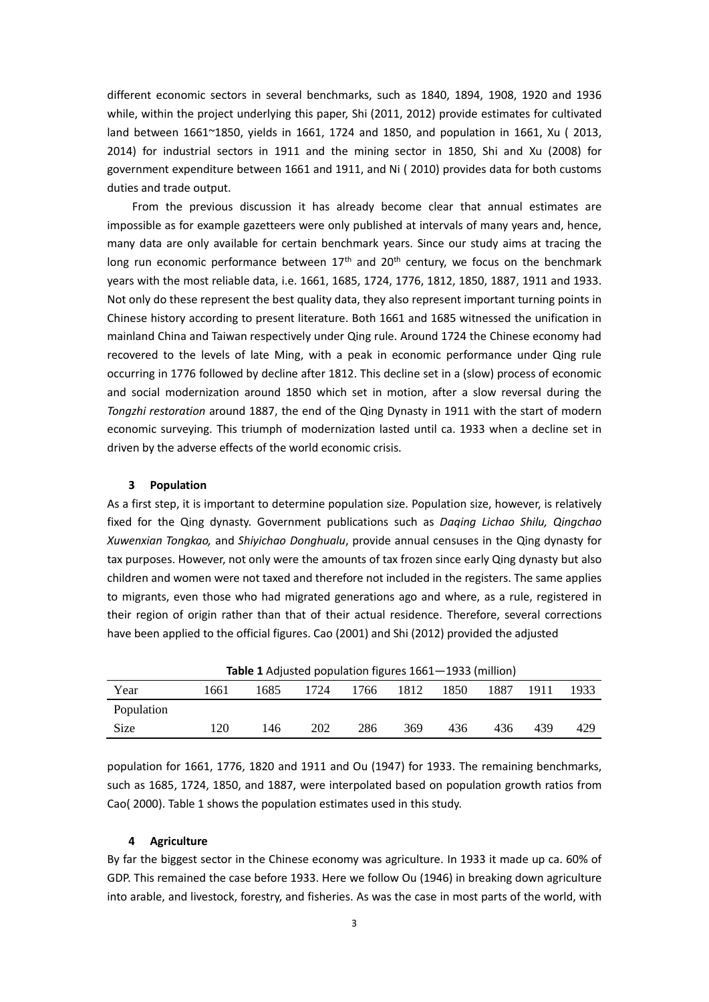different economic sectors in several benchmarks, such as 1840, 1894, 1908, 1920 and 1936 while, within the project underlying this paper, Shi (2011, 2012) provide estimates for cultivated land between 1661~1850, yields in 1661, 1724 and 1850, and population in 1661, Xu ( 2013, 2014) for industrial sectors in 1911 and the mining sector in 1850, Shi and Xu (2008) for government expenditure between 1661 and 1911, and Ni ( 2010) provides data for both customs duties and trade output.

From the previous discussion it has already become clear that annual estimates are impossible as for example gazetteers were only published at intervals of many years and, hence, many data are only available for certain benchmark years. Since our study aims at tracing the long run economic performance between  $17<sup>th</sup>$  and  $20<sup>th</sup>$  century, we focus on the benchmark years with the most reliable data, i.e. 1661, 1685, 1724, 1776, 1812, 1850, 1887, 1911 and 1933. Not only do these represent the best quality data, they also represent important turning points in Chinese history according to present literature. Both 1661 and 1685 witnessed the unification in mainland China and Taiwan respectively under Qing rule. Around 1724 the Chinese economy had recovered to the levels of late Ming, with a peak in economic performance under Qing rule occurring in 1776 followed by decline after 1812. This decline set in a (slow) process of economic and social modernization around 1850 which set in motion, after a slow reversal during the *Tongzhi restoration* around 1887, the end of the Qing Dynasty in 1911 with the start of modern economic surveying. This triumph of modernization lasted until ca. 1933 when a decline set in driven by the adverse effects of the world economic crisis.

## **3 Population**

As a first step, it is important to determine population size. Population size, however, is relatively fixed for the Qing dynasty. Government publications such as *Daqing Lichao Shilu, Qingchao Xuwenxian Tongkao,* and *Shiyichao Donghualu*, provide annual censuses in the Qing dynasty for tax purposes. However, not only were the amounts of tax frozen since early Qing dynasty but also children and women were not taxed and therefore not included in the registers. The same applies to migrants, even those who had migrated generations ago and where, as a rule, registered in their region of origin rather than that of their actual residence. Therefore, several corrections have been applied to the official figures. Cao (2001) and Shi (2012) provided the adjusted

| <b>Table 1</b> Adjusted population figures 1661—1933 (million) |      |      |      |      |      |      |      |      |      |
|----------------------------------------------------------------|------|------|------|------|------|------|------|------|------|
| Year                                                           | 1661 | 1685 | 1724 | 1766 | 1812 | 1850 | 1887 | 1911 | 1933 |
| Population                                                     |      |      |      |      |      |      |      |      |      |
| <b>Size</b>                                                    | 120  | 146  | 202  | 286  | 369  | 436  | 436  | 439  | 429  |

**Table 1** Adjusted population figures 1661—1933 (million)

population for 1661, 1776, 1820 and 1911 and Ou (1947) for 1933. The remaining benchmarks, such as 1685, 1724, 1850, and 1887, were interpolated based on population growth ratios from Cao( 2000). Table 1 shows the population estimates used in this study.

## **4 Agriculture**

By far the biggest sector in the Chinese economy was agriculture. In 1933 it made up ca. 60% of GDP. This remained the case before 1933. Here we follow Ou (1946) in breaking down agriculture into arable, and livestock, forestry, and fisheries. As was the case in most parts of the world, with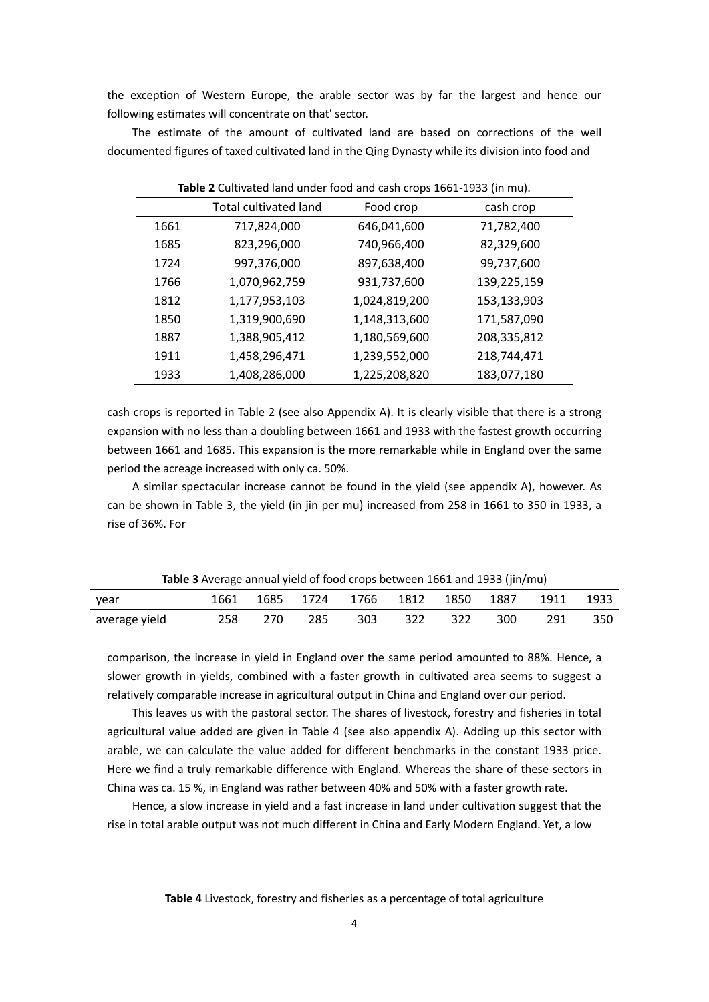the exception of Western Europe, the arable sector was by far the largest and hence our following estimates will concentrate on that' sector.

The estimate of the amount of cultivated land are based on corrections of the well documented figures of taxed cultivated land in the Qing Dynasty while its division into food and

| Table 2 Cultivated land under food and cash crops 1661-1933 (in mu). |                              |               |             |  |  |  |
|----------------------------------------------------------------------|------------------------------|---------------|-------------|--|--|--|
|                                                                      | <b>Total cultivated land</b> | Food crop     | cash crop   |  |  |  |
| 1661                                                                 | 717,824,000                  | 646,041,600   | 71,782,400  |  |  |  |
| 1685                                                                 | 823,296,000                  | 740,966,400   | 82,329,600  |  |  |  |
| 1724                                                                 | 997,376,000                  | 897,638,400   | 99,737,600  |  |  |  |
| 1766                                                                 | 1,070,962,759                | 931,737,600   | 139,225,159 |  |  |  |
| 1812                                                                 | 1,177,953,103                | 1,024,819,200 | 153,133,903 |  |  |  |
| 1850                                                                 | 1,319,900,690                | 1,148,313,600 | 171,587,090 |  |  |  |
| 1887                                                                 | 1,388,905,412                | 1,180,569,600 | 208,335,812 |  |  |  |
| 1911                                                                 | 1,458,296,471                | 1,239,552,000 | 218,744,471 |  |  |  |
| 1933                                                                 | 1,408,286,000                | 1,225,208,820 | 183,077,180 |  |  |  |

cash crops is reported in Table 2 (see also Appendix A). It is clearly visible that there is a strong expansion with no less than a doubling between 1661 and 1933 with the fastest growth occurring between 1661 and 1685. This expansion is the more remarkable while in England over the same period the acreage increased with only ca. 50%.

A similar spectacular increase cannot be found in the yield (see appendix A), however. As can be shown in Table 3, the yield (in jin per mu) increased from 258 in 1661 to 350 in 1933, a rise of 36%. For

| <b>Table 3</b> Average annual vield of food crops between 1661 and 1933 (fin/mu) |     |     |     |                                    |       |     |     |           |      |
|----------------------------------------------------------------------------------|-----|-----|-----|------------------------------------|-------|-----|-----|-----------|------|
| vear                                                                             |     |     |     | 1661 1685 1724 1766 1812 1850 1887 |       |     |     | 1911 1933 |      |
| average yield                                                                    | 258 | 270 | 285 | 303                                | - 322 | 322 | 300 | -291      | -350 |

**Table 3** Average annual yield of food crops between 1661 and 1933 (jin/mu)

comparison, the increase in yield in England over the same period amounted to 88%. Hence, a slower growth in yields, combined with a faster growth in cultivated area seems to suggest a relatively comparable increase in agricultural output in China and England over our period.

This leaves us with the pastoral sector. The shares of livestock, forestry and fisheries in total agricultural value added are given in Table 4 (see also appendix A). Adding up this sector with arable, we can calculate the value added for different benchmarks in the constant 1933 price. Here we find a truly remarkable difference with England. Whereas the share of these sectors in China was ca. 15 %, in England was rather between 40% and 50% with a faster growth rate.

Hence, a slow increase in yield and a fast increase in land under cultivation suggest that the rise in total arable output was not much different in China and Early Modern England. Yet, a low

**Table 4** Livestock, forestry and fisheries as a percentage of total agriculture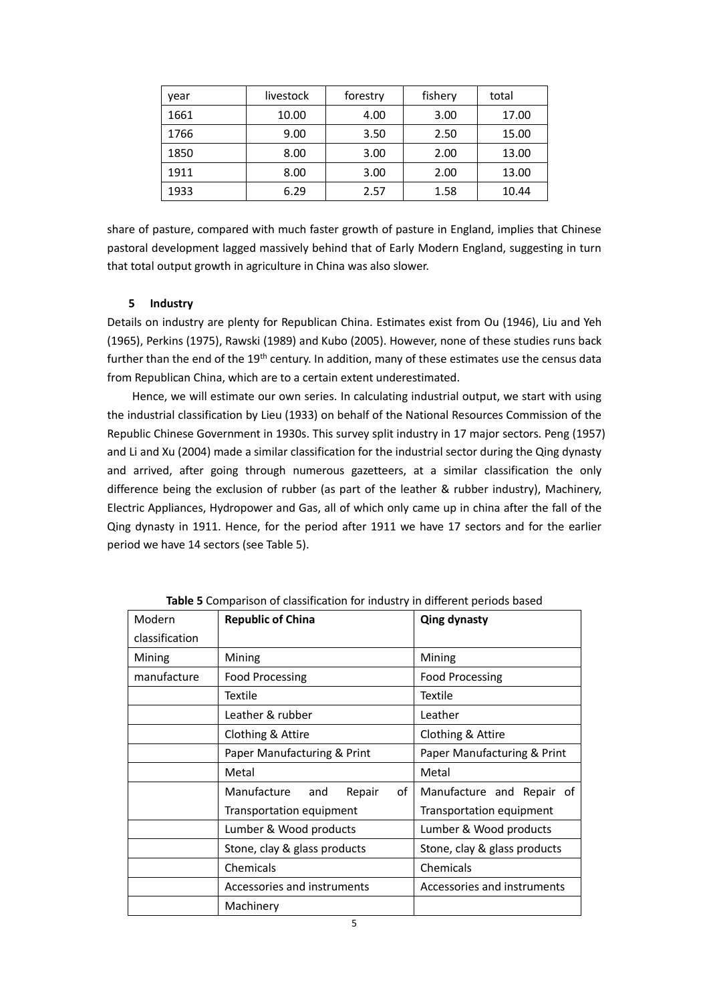| vear | livestock | forestry | fishery | total |
|------|-----------|----------|---------|-------|
| 1661 | 10.00     | 4.00     | 3.00    | 17.00 |
| 1766 | 9.00      | 3.50     | 2.50    | 15.00 |
| 1850 | 8.00      | 3.00     | 2.00    | 13.00 |
| 1911 | 8.00      | 3.00     | 2.00    | 13.00 |
| 1933 | 6.29      | 2.57     | 1.58    | 10.44 |

share of pasture, compared with much faster growth of pasture in England, implies that Chinese pastoral development lagged massively behind that of Early Modern England, suggesting in turn that total output growth in agriculture in China was also slower.

## **5 Industry**

Details on industry are plenty for Republican China. Estimates exist from Ou (1946), Liu and Yeh (1965), Perkins (1975), Rawski (1989) and Kubo (2005). However, none of these studies runs back further than the end of the 19<sup>th</sup> century. In addition, many of these estimates use the census data from Republican China, which are to a certain extent underestimated.

Hence, we will estimate our own series. In calculating industrial output, we start with using the industrial classification by Lieu (1933) on behalf of the National Resources Commission of the Republic Chinese Government in 1930s. This survey split industry in 17 major sectors. Peng (1957) and Li and Xu (2004) made a similar classification for the industrial sector during the Qing dynasty and arrived, after going through numerous gazetteers, at a similar classification the only difference being the exclusion of rubber (as part of the leather & rubber industry), Machinery, Electric Appliances, Hydropower and Gas, all of which only came up in china after the fall of the Qing dynasty in 1911. Hence, for the period after 1911 we have 17 sectors and for the earlier period we have 14 sectors (see Table 5).

|                | <b>Table 3</b> Companison of classification for industry in uniterent periods based |                              |  |  |
|----------------|-------------------------------------------------------------------------------------|------------------------------|--|--|
| Modern         | <b>Republic of China</b>                                                            | <b>Qing dynasty</b>          |  |  |
| classification |                                                                                     |                              |  |  |
| Mining         | Mining                                                                              | Mining                       |  |  |
| manufacture    | <b>Food Processing</b>                                                              | <b>Food Processing</b>       |  |  |
|                | Textile                                                                             | <b>Textile</b>               |  |  |
|                | Leather & rubber                                                                    | Leather                      |  |  |
|                | Clothing & Attire                                                                   | Clothing & Attire            |  |  |
|                | Paper Manufacturing & Print                                                         | Paper Manufacturing & Print  |  |  |
|                | Metal                                                                               | Metal                        |  |  |
|                | Manufacture<br>Repair<br>of<br>and                                                  | Manufacture and Repair of    |  |  |
|                | Transportation equipment                                                            | Transportation equipment     |  |  |
|                | Lumber & Wood products                                                              | Lumber & Wood products       |  |  |
|                | Stone, clay & glass products                                                        | Stone, clay & glass products |  |  |
|                | Chemicals                                                                           | Chemicals                    |  |  |
|                | Accessories and instruments                                                         | Accessories and instruments  |  |  |
|                | Machinery                                                                           |                              |  |  |

**Table 5** Comparison of classification for industry in different periods based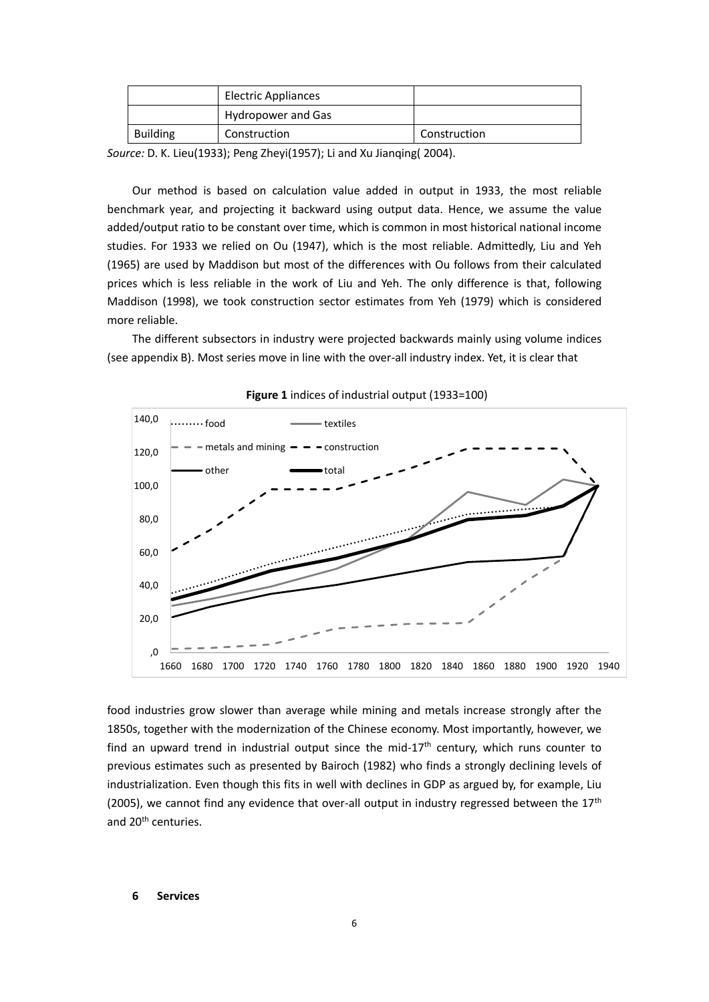|                 | <b>Electric Appliances</b> |              |
|-----------------|----------------------------|--------------|
|                 | Hydropower and Gas         |              |
| <b>Building</b> | Construction               | Construction |

*Source:* D. K. Lieu(1933); Peng Zheyi(1957); Li and Xu Jianqing( 2004).

Our method is based on calculation value added in output in 1933, the most reliable benchmark year, and projecting it backward using output data. Hence, we assume the value added/output ratio to be constant over time, which is common in most historical national income studies. For 1933 we relied on Ou (1947), which is the most reliable. Admittedly, Liu and Yeh (1965) are used by Maddison but most of the differences with Ou follows from their calculated prices which is less reliable in the work of Liu and Yeh. The only difference is that, following Maddison (1998), we took construction sector estimates from Yeh (1979) which is considered more reliable.

The different subsectors in industry were projected backwards mainly using volume indices (see appendix B). Most series move in line with the over-all industry index. Yet, it is clear that



**Figure 1** indices of industrial output (1933=100)

food industries grow slower than average while mining and metals increase strongly after the 1850s, together with the modernization of the Chinese economy. Most importantly, however, we find an upward trend in industrial output since the mid-17<sup>th</sup> century, which runs counter to previous estimates such as presented by Bairoch (1982) who finds a strongly declining levels of industrialization. Even though this fits in well with declines in GDP as argued by, for example, Liu (2005), we cannot find any evidence that over-all output in industry regressed between the  $17<sup>th</sup>$ and 20<sup>th</sup> centuries.

#### **6 Services**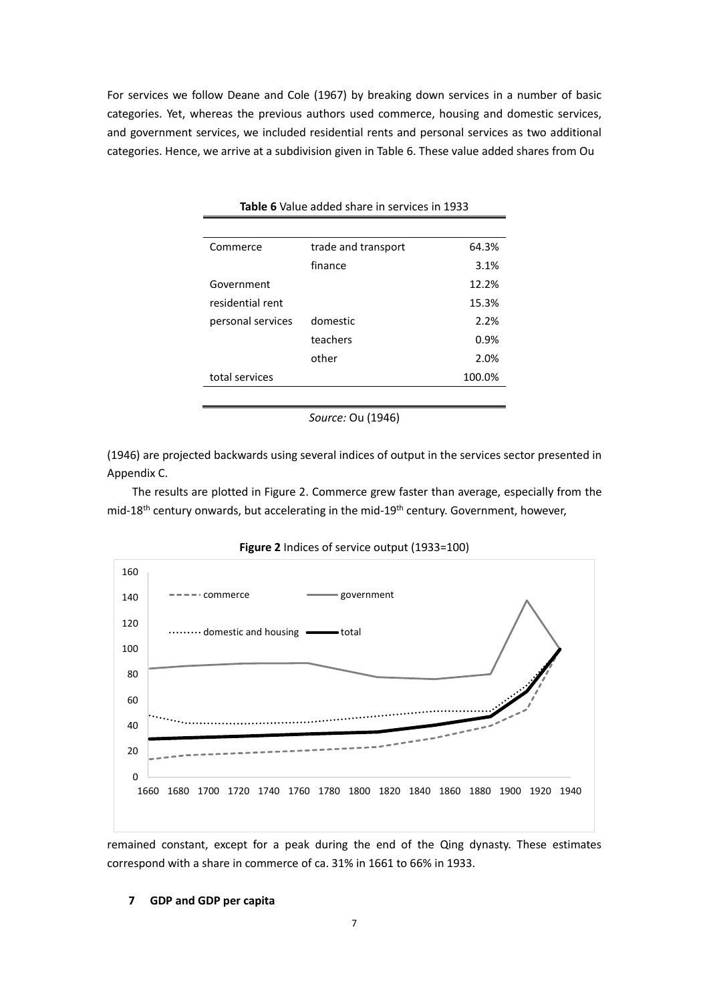For services we follow Deane and Cole (1967) by breaking down services in a number of basic categories. Yet, whereas the previous authors used commerce, housing and domestic services, and government services, we included residential rents and personal services as two additional categories. Hence, we arrive at a subdivision given in Table 6. These value added shares from Ou

| Commerce          | trade and transport | 64.3%  |
|-------------------|---------------------|--------|
|                   | finance             | 3.1%   |
| Government        |                     | 12.2%  |
| residential rent  |                     | 15.3%  |
| personal services | domestic            | 2.2%   |
|                   | teachers            | 0.9%   |
|                   | other               | 2.0%   |
| total services    |                     | 100.0% |

**Table 6** Value added share in services in 1933

*Source:* Ou (1946)

(1946) are projected backwards using several indices of output in the services sector presented in Appendix C.

The results are plotted in Figure 2. Commerce grew faster than average, especially from the mid-18<sup>th</sup> century onwards, but accelerating in the mid-19<sup>th</sup> century. Government, however,



**Figure 2** Indices of service output (1933=100)

remained constant, except for a peak during the end of the Qing dynasty. These estimates correspond with a share in commerce of ca. 31% in 1661 to 66% in 1933.

#### **7 GDP and GDP per capita**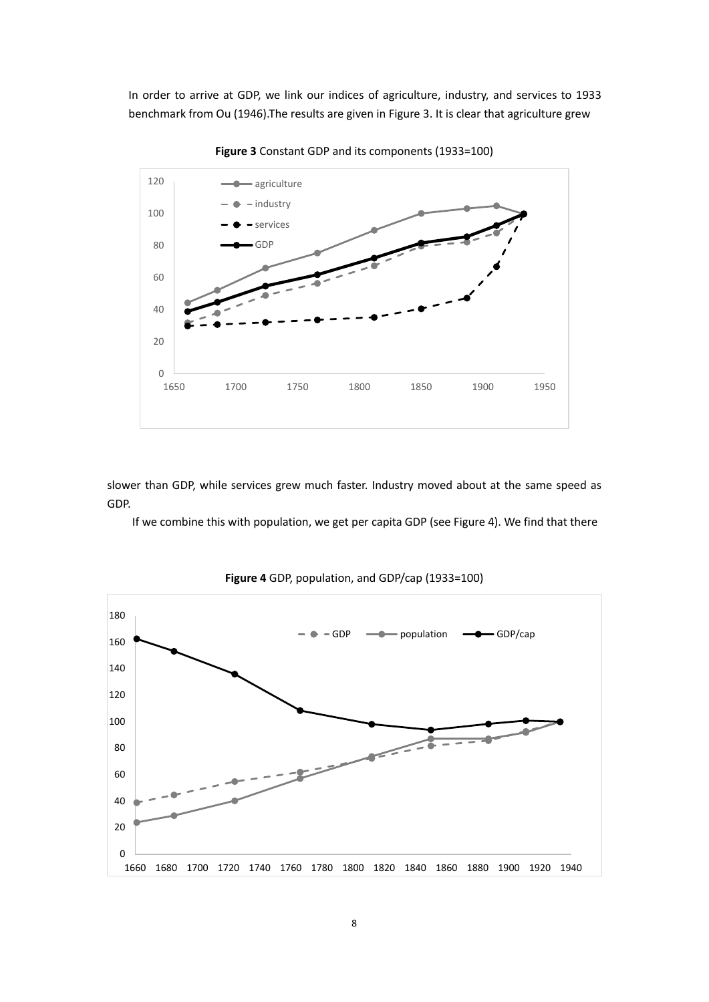In order to arrive at GDP, we link our indices of agriculture, industry, and services to 1933 benchmark from Ou (1946).The results are given in Figure 3. It is clear that agriculture grew



**Figure 3** Constant GDP and its components (1933=100)

slower than GDP, while services grew much faster. Industry moved about at the same speed as GDP.

If we combine this with population, we get per capita GDP (see Figure 4). We find that there



**Figure 4** GDP, population, and GDP/cap (1933=100)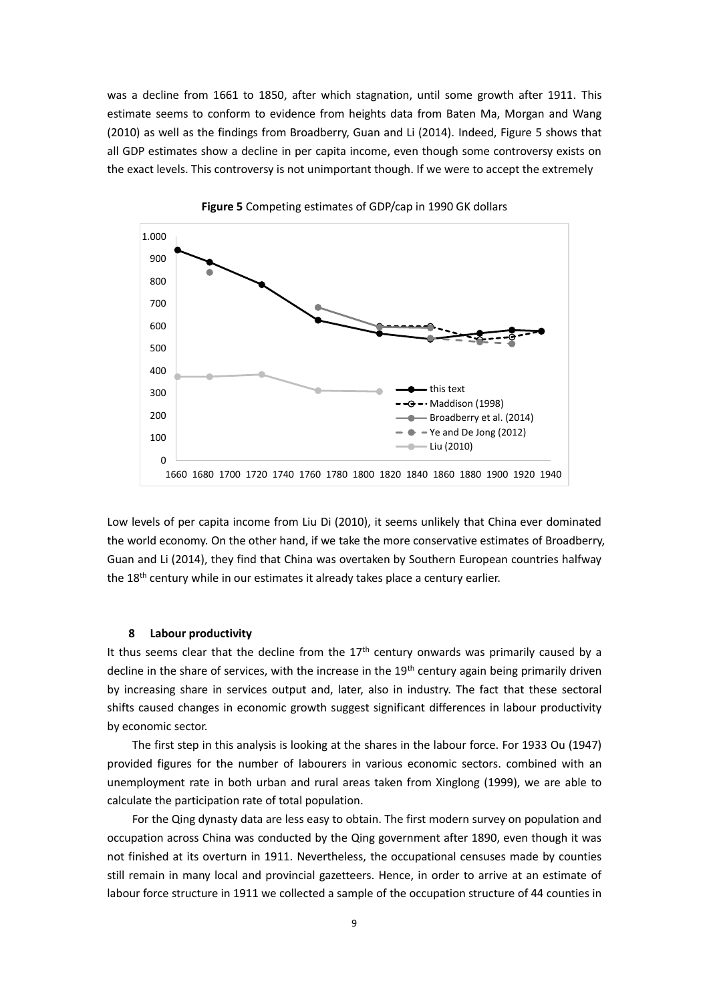was a decline from 1661 to 1850, after which stagnation, until some growth after 1911. This estimate seems to conform to evidence from heights data from Baten Ma, Morgan and Wang (2010) as well as the findings from Broadberry, Guan and Li (2014). Indeed, Figure 5 shows that all GDP estimates show a decline in per capita income, even though some controversy exists on the exact levels. This controversy is not unimportant though. If we were to accept the extremely



**Figure 5** Competing estimates of GDP/cap in 1990 GK dollars

Low levels of per capita income from Liu Di (2010), it seems unlikely that China ever dominated the world economy. On the other hand, if we take the more conservative estimates of Broadberry, Guan and Li (2014), they find that China was overtaken by Southern European countries halfway the 18<sup>th</sup> century while in our estimates it already takes place a century earlier.

#### **8 Labour productivity**

It thus seems clear that the decline from the  $17<sup>th</sup>$  century onwards was primarily caused by a decline in the share of services, with the increase in the 19<sup>th</sup> century again being primarily driven by increasing share in services output and, later, also in industry. The fact that these sectoral shifts caused changes in economic growth suggest significant differences in labour productivity by economic sector.

The first step in this analysis is looking at the shares in the labour force. For 1933 Ou (1947) provided figures for the number of labourers in various economic sectors. combined with an unemployment rate in both urban and rural areas taken from Xinglong (1999), we are able to calculate the participation rate of total population.

For the Qing dynasty data are less easy to obtain. The first modern survey on population and occupation across China was conducted by the Qing government after 1890, even though it was not finished at its overturn in 1911. Nevertheless, the occupational censuses made by counties still remain in many local and provincial gazetteers. Hence, in order to arrive at an estimate of labour force structure in 1911 we collected a sample of the occupation structure of 44 counties in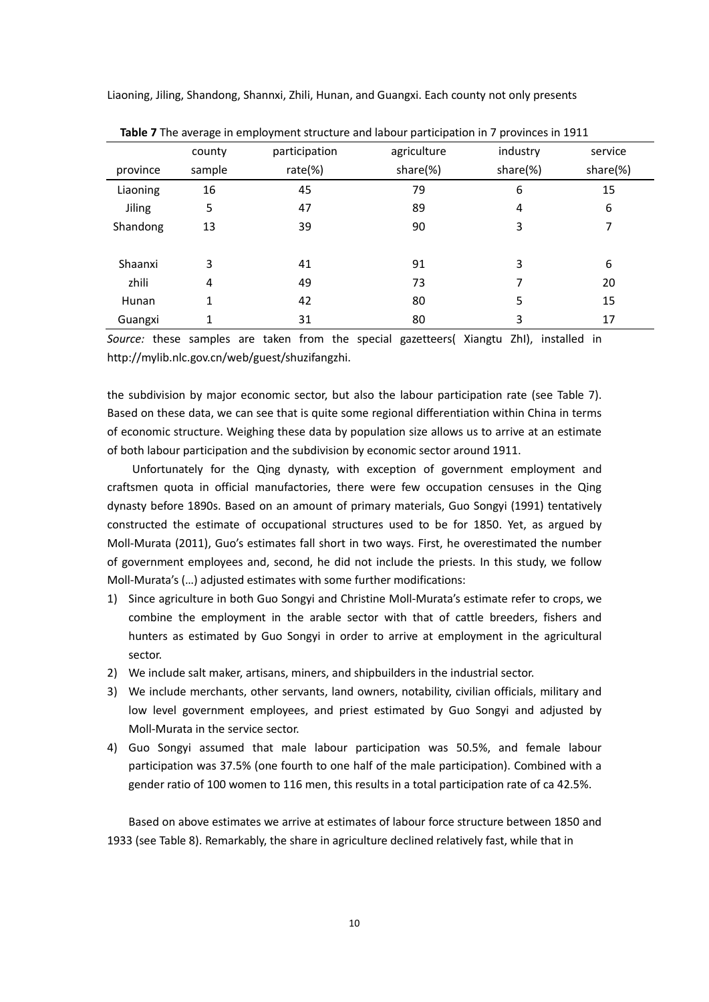| Table 7 The average in employment structure and labour participation in 7 provinces in 1911 |        |               |             |          |          |  |  |
|---------------------------------------------------------------------------------------------|--------|---------------|-------------|----------|----------|--|--|
|                                                                                             | county | participation | agriculture | industry | service  |  |  |
| province                                                                                    | sample | rate $(\%)$   | share(%)    | share(%) | share(%) |  |  |
| Liaoning                                                                                    | 16     | 45            | 79          | 6        | 15       |  |  |
| <b>Jiling</b>                                                                               | 5      | 47            | 89          | 4        | 6        |  |  |
| Shandong                                                                                    | 13     | 39            | 90          | 3        | 7        |  |  |
|                                                                                             |        |               |             |          |          |  |  |
| Shaanxi                                                                                     | 3      | 41            | 91          | 3        | 6        |  |  |
| zhili                                                                                       | 4      | 49            | 73          | 7        | 20       |  |  |
| Hunan                                                                                       | 1      | 42            | 80          | 5        | 15       |  |  |
| Guangxi                                                                                     |        | 31            | 80          | 3        | 17       |  |  |

Liaoning, Jiling, Shandong, Shannxi, Zhili, Hunan, and Guangxi. Each county not only presents

*Source:* these samples are taken from the special gazetteers( Xiangtu ZhI), installed in http://mylib.nlc.gov.cn/web/guest/shuzifangzhi.

the subdivision by major economic sector, but also the labour participation rate (see Table 7). Based on these data, we can see that is quite some regional differentiation within China in terms of economic structure. Weighing these data by population size allows us to arrive at an estimate of both labour participation and the subdivision by economic sector around 1911.

Unfortunately for the Qing dynasty, with exception of government employment and craftsmen quota in official manufactories, there were few occupation censuses in the Qing dynasty before 1890s. Based on an amount of primary materials, Guo Songyi (1991) tentatively constructed the estimate of occupational structures used to be for 1850. Yet, as argued by Moll-Murata (2011), Guo's estimates fall short in two ways. First, he overestimated the number of government employees and, second, he did not include the priests. In this study, we follow Moll-Murata's (…) adjusted estimates with some further modifications:

- 1) Since agriculture in both Guo Songyi and Christine Moll-Murata's estimate refer to crops, we combine the employment in the arable sector with that of cattle breeders, fishers and hunters as estimated by Guo Songyi in order to arrive at employment in the agricultural sector.
- 2) We include salt maker, artisans, miners, and shipbuilders in the industrial sector.
- 3) We include merchants, other servants, land owners, notability, civilian officials, military and low level government employees, and priest estimated by Guo Songyi and adjusted by Moll-Murata in the service sector.
- 4) Guo Songyi assumed that male labour participation was 50.5%, and female labour participation was 37.5% (one fourth to one half of the male participation). Combined with a gender ratio of 100 women to 116 men, this results in a total participation rate of ca 42.5%.

Based on above estimates we arrive at estimates of labour force structure between 1850 and 1933 (see Table 8). Remarkably, the share in agriculture declined relatively fast, while that in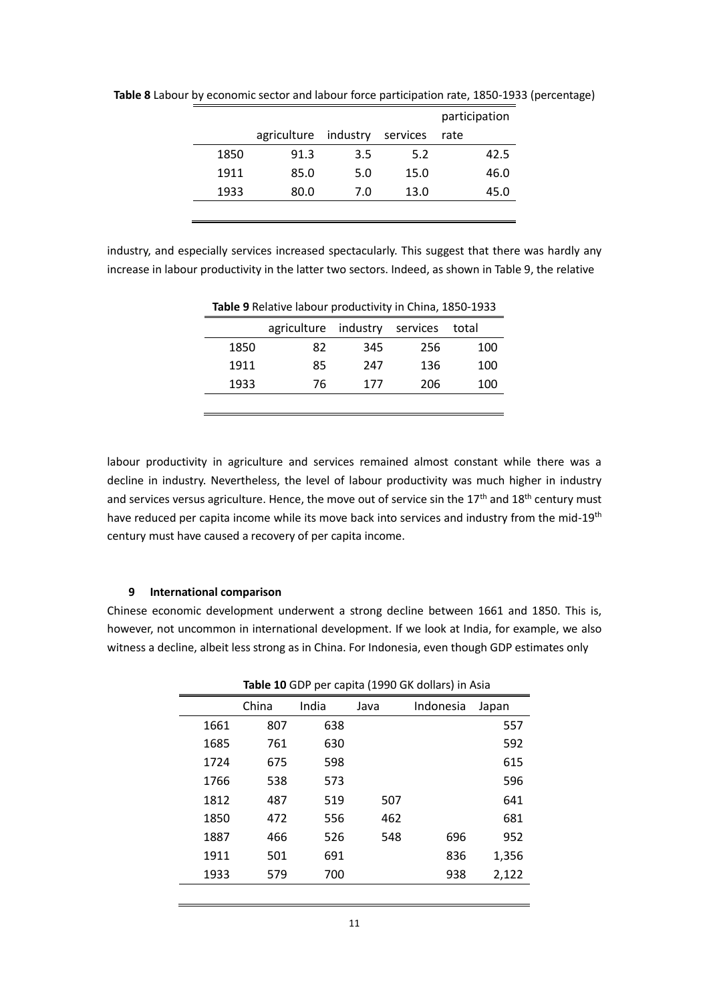|      |             |          |          | participation |
|------|-------------|----------|----------|---------------|
|      | agriculture | industry | services | rate          |
| 1850 | 91.3        | 3.5      | 5.2      | 42.5          |
| 1911 | 85.0        | 5.0      | 15.0     | 46.0          |
| 1933 | 80.0        | 7.0      | 13.0     | 45.0          |
|      |             |          |          |               |

**Table 8** Labour by economic sector and labour force participation rate, 1850-1933 (percentage)

industry, and especially services increased spectacularly. This suggest that there was hardly any increase in labour productivity in the latter two sectors. Indeed, as shown in Table 9, the relative

|      | agriculture industry |     | services | total |
|------|----------------------|-----|----------|-------|
| 1850 | 82                   | 345 | 256      | 100   |
| 1911 | 85                   | 247 | 136      | 100   |
| 1933 | 76                   | 177 | 206      | 100   |
|      |                      |     |          |       |
|      |                      |     |          |       |

**Table 9** Relative labour productivity in China, 1850-1933

labour productivity in agriculture and services remained almost constant while there was a decline in industry. Nevertheless, the level of labour productivity was much higher in industry and services versus agriculture. Hence, the move out of service sin the 17<sup>th</sup> and 18<sup>th</sup> century must have reduced per capita income while its move back into services and industry from the mid-19<sup>th</sup> century must have caused a recovery of per capita income.

## **9 International comparison**

Chinese economic development underwent a strong decline between 1661 and 1850. This is, however, not uncommon in international development. If we look at India, for example, we also witness a decline, albeit less strong as in China. For Indonesia, even though GDP estimates only

|      | Table 10 GDP per capita (1990 GK dollars) in Asia |       |      |           |       |  |  |
|------|---------------------------------------------------|-------|------|-----------|-------|--|--|
|      | China                                             | India | Java | Indonesia | Japan |  |  |
| 1661 | 807                                               | 638   |      |           | 557   |  |  |
| 1685 | 761                                               | 630   |      |           | 592   |  |  |
| 1724 | 675                                               | 598   |      |           | 615   |  |  |
| 1766 | 538                                               | 573   |      |           | 596   |  |  |
| 1812 | 487                                               | 519   | 507  |           | 641   |  |  |
| 1850 | 472                                               | 556   | 462  |           | 681   |  |  |
| 1887 | 466                                               | 526   | 548  | 696       | 952   |  |  |
| 1911 | 501                                               | 691   |      | 836       | 1,356 |  |  |
| 1933 | 579                                               | 700   |      | 938       | 2,122 |  |  |
|      |                                                   |       |      |           |       |  |  |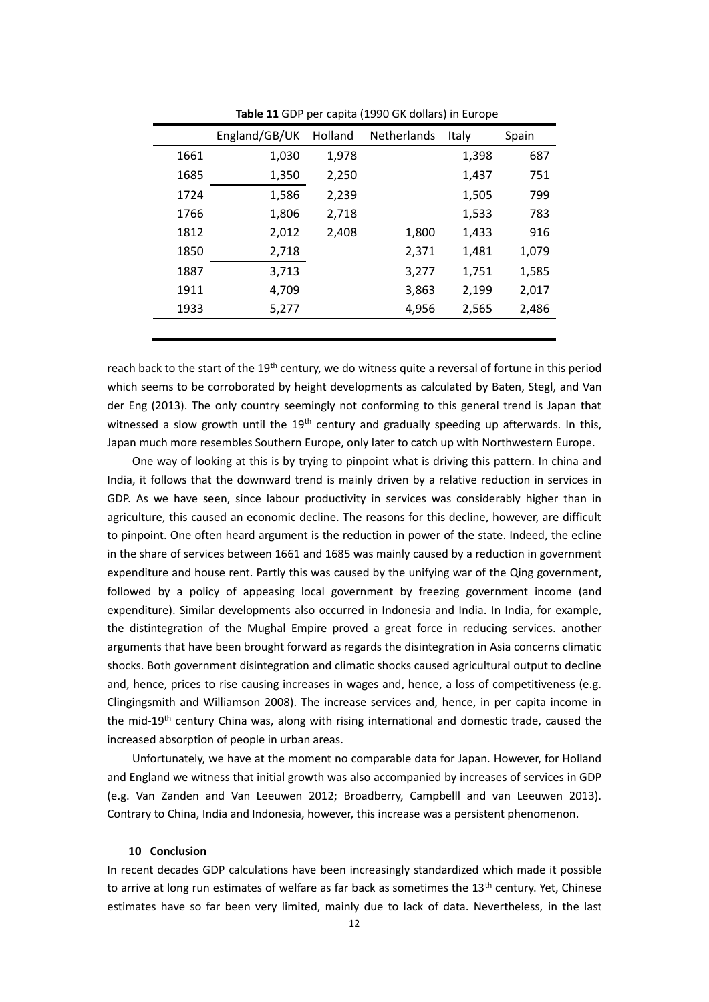|      | England/GB/UK | Holland | Netherlands | Italy | Spain |
|------|---------------|---------|-------------|-------|-------|
| 1661 | 1,030         | 1,978   |             | 1,398 | 687   |
| 1685 | 1,350         | 2,250   |             | 1,437 | 751   |
| 1724 | 1,586         | 2,239   |             | 1,505 | 799   |
| 1766 | 1,806         | 2,718   |             | 1,533 | 783   |
| 1812 | 2,012         | 2,408   | 1,800       | 1,433 | 916   |
| 1850 | 2,718         |         | 2,371       | 1,481 | 1,079 |
| 1887 | 3,713         |         | 3,277       | 1,751 | 1,585 |
| 1911 | 4,709         |         | 3,863       | 2,199 | 2,017 |
| 1933 | 5,277         |         | 4,956       | 2,565 | 2,486 |
|      |               |         |             |       |       |

**Table 11** GDP per capita (1990 GK dollars) in Europe

reach back to the start of the 19<sup>th</sup> century, we do witness quite a reversal of fortune in this period which seems to be corroborated by height developments as calculated by Baten, Stegl, and Van der Eng (2013). The only country seemingly not conforming to this general trend is Japan that witnessed a slow growth until the 19<sup>th</sup> century and gradually speeding up afterwards. In this, Japan much more resembles Southern Europe, only later to catch up with Northwestern Europe.

One way of looking at this is by trying to pinpoint what is driving this pattern. In china and India, it follows that the downward trend is mainly driven by a relative reduction in services in GDP. As we have seen, since labour productivity in services was considerably higher than in agriculture, this caused an economic decline. The reasons for this decline, however, are difficult to pinpoint. One often heard argument is the reduction in power of the state. Indeed, the ecline in the share of services between 1661 and 1685 was mainly caused by a reduction in government expenditure and house rent. Partly this was caused by the unifying war of the Qing government, followed by a policy of appeasing local government by freezing government income (and expenditure). Similar developments also occurred in Indonesia and India. In India, for example, the distintegration of the Mughal Empire proved a great force in reducing services. another arguments that have been brought forward as regards the disintegration in Asia concerns climatic shocks. Both government disintegration and climatic shocks caused agricultural output to decline and, hence, prices to rise causing increases in wages and, hence, a loss of competitiveness (e.g. Clingingsmith and Williamson 2008). The increase services and, hence, in per capita income in the mid-19<sup>th</sup> century China was, along with rising international and domestic trade, caused the increased absorption of people in urban areas.

Unfortunately, we have at the moment no comparable data for Japan. However, for Holland and England we witness that initial growth was also accompanied by increases of services in GDP (e.g. Van Zanden and Van Leeuwen 2012; Broadberry, Campbelll and van Leeuwen 2013). Contrary to China, India and Indonesia, however, this increase was a persistent phenomenon.

## **10 Conclusion**

In recent decades GDP calculations have been increasingly standardized which made it possible to arrive at long run estimates of welfare as far back as sometimes the  $13<sup>th</sup>$  century. Yet, Chinese estimates have so far been very limited, mainly due to lack of data. Nevertheless, in the last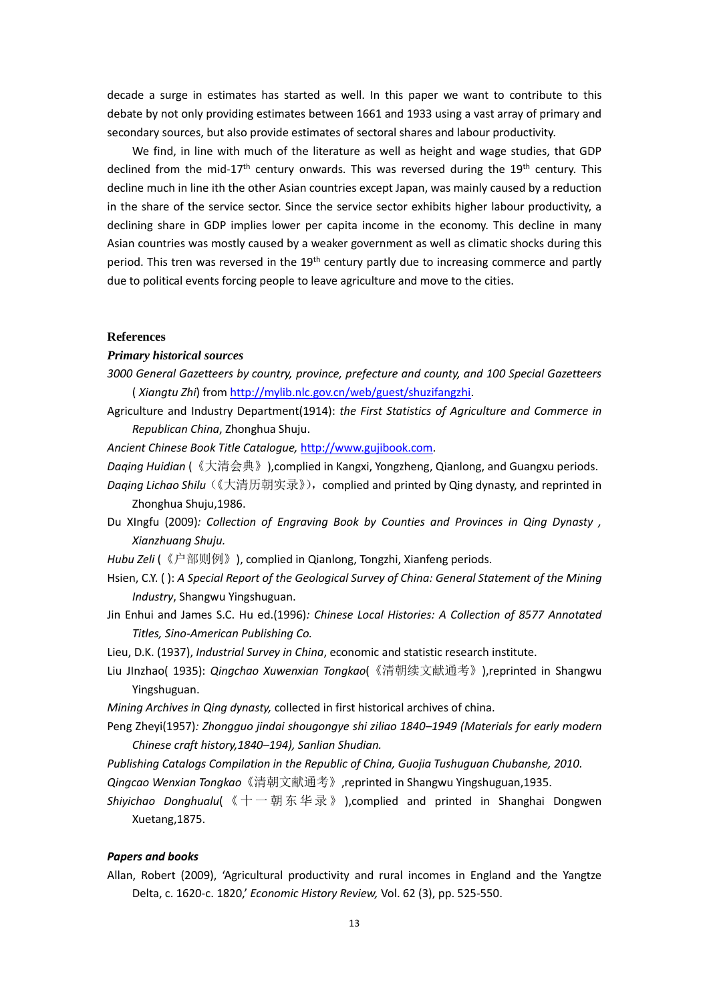decade a surge in estimates has started as well. In this paper we want to contribute to this debate by not only providing estimates between 1661 and 1933 using a vast array of primary and secondary sources, but also provide estimates of sectoral shares and labour productivity.

We find, in line with much of the literature as well as height and wage studies, that GDP declined from the mid-17<sup>th</sup> century onwards. This was reversed during the 19<sup>th</sup> century. This decline much in line ith the other Asian countries except Japan, was mainly caused by a reduction in the share of the service sector. Since the service sector exhibits higher labour productivity, a declining share in GDP implies lower per capita income in the economy. This decline in many Asian countries was mostly caused by a weaker government as well as climatic shocks during this period. This tren was reversed in the 19<sup>th</sup> century partly due to increasing commerce and partly due to political events forcing people to leave agriculture and move to the cities.

## **References**

## *Primary historical sources*

- *3000 General Gazetteers by country, province, prefecture and county, and 100 Special Gazetteers*  ( *Xiangtu Zhi*) from [http://mylib.nlc.gov.cn/web/guest/shuzifangzhi.](http://mylib.nlc.gov.cn/web/guest/shuzifangzhi)
- Agriculture and Industry Department(1914): *the First Statistics of Agriculture and Commerce in Republican China*, Zhonghua Shuju.

*Ancient Chinese Book Title Catalogue,* [http://www.gujibook.com.](http://www.gujibook.com/)

- *Daqing Huidian* (《大清会典》),complied in Kangxi, Yongzheng, Qianlong, and Guangxu periods.
- Daqing Lichao Shilu (《大清历朝实录》), complied and printed by Qing dynasty, and reprinted in Zhonghua Shuju,1986.
- Du XIngfu (2009)*: Collection of Engraving Book by Counties and Provinces in Qing Dynasty , Xianzhuang Shuju.*

*Hubu Zeli* (《户部则例》), complied in Qianlong, Tongzhi, Xianfeng periods.

- Hsien, C.Y. ( ): *A Special Report of the Geological Survey of China: General Statement of the Mining Industry*, Shangwu Yingshuguan.
- Jin Enhui and James S.C. Hu ed.(1996)*: Chinese Local Histories: A Collection of 8577 Annotated Titles, Sino-American Publishing Co.*
- Lieu, D.K. (1937), *Industrial Survey in China*, economic and statistic research institute.
- Liu JInzhao( 1935): *Qingchao Xuwenxian Tongkao*(《清朝续文献通考》),reprinted in Shangwu Yingshuguan.
- *Mining Archives in Qing dynasty,* collected in first historical archives of china.
- Peng Zheyi(1957)*: Zhongguo jindai shougongye shi ziliao 1840–1949 (Materials for early modern Chinese craft history,1840–194), Sanlian Shudian.*

*Publishing Catalogs Compilation in the Republic of China, Guojia Tushuguan Chubanshe, 2010.*

*Qingcao Wenxian Tongkao*《清朝文献通考》,reprinted in Shangwu Yingshuguan,1935.

*Shiyichao Donghualu*( 《 十 一 朝 东 华 录 》 ),complied and printed in Shanghai Dongwen Xuetang,1875.

## *Papers and books*

Allan, Robert (2009), 'Agricultural productivity and rural incomes in England and the Yangtze Delta, c. 1620-c. 1820,' *Economic History Review,* Vol. 62 (3), pp. 525-550.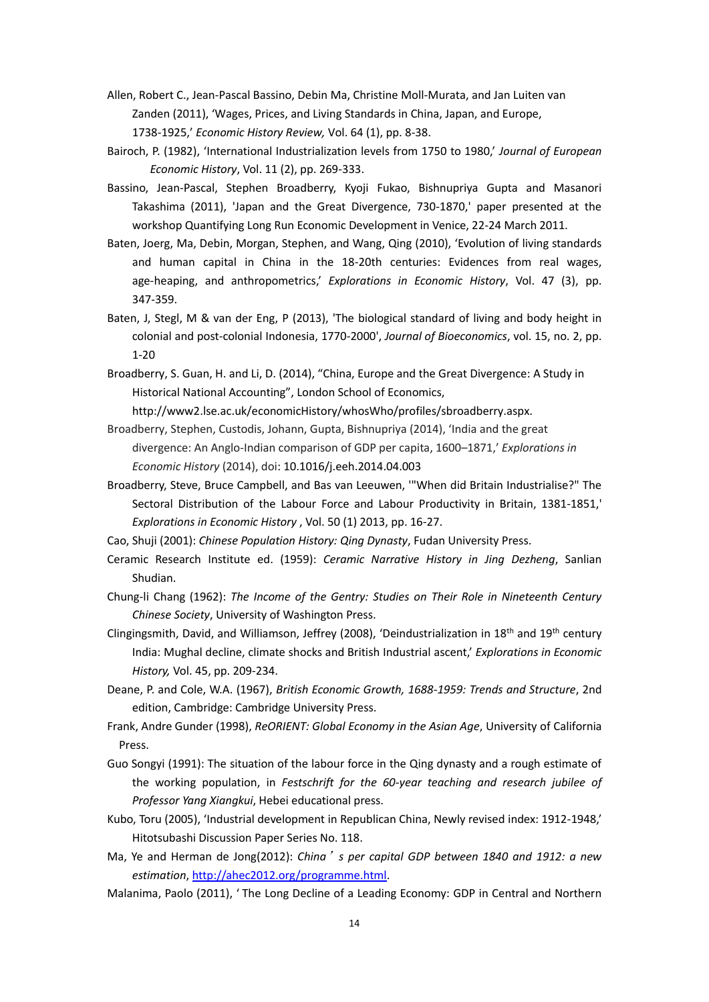- Allen, Robert C., Jean-Pascal Bassino, Debin Ma, Christine Moll-Murata, and Jan Luiten van Zanden (2011), 'Wages, Prices, and Living Standards in China, Japan, and Europe, 1738-1925,' *Economic History Review,* Vol. 64 (1), pp. 8-38.
- Bairoch, P. (1982), 'International Industrialization levels from 1750 to 1980,' *Journal of European Economic History*, Vol. 11 (2), pp. 269-333.
- Bassino, Jean-Pascal, Stephen Broadberry, Kyoji Fukao, Bishnupriya Gupta and Masanori Takashima (2011), 'Japan and the Great Divergence, 730-1870,' paper presented at the workshop Quantifying Long Run Economic Development in Venice, 22-24 March 2011.
- Baten, Joerg, Ma, Debin, Morgan, Stephen, and Wang, Qing (2010), 'Evolution of living standards and human capital in China in the 18-20th centuries: Evidences from real wages, age-heaping, and anthropometrics,' *Explorations in Economic History*, Vol. 47 (3), pp. 347-359.
- Baten, J, Stegl, M & van der Eng, P (2013), 'The biological standard of living and body height in colonial and post-colonial Indonesia, 1770-2000', *Journal of Bioeconomics*, vol. 15, no. 2, pp. 1-20
- Broadberry, S. Guan, H. and Li, D. (2014), "China, Europe and the Great Divergence: A Study in Historical National Accounting", London School of Economics,

http://www2.lse.ac.uk/economicHistory/whosWho/profiles/sbroadberry.aspx.

- Broadberry, Stephen, Custodis, Johann, Gupta, Bishnupriya (2014), 'India and the great divergence: An Anglo-Indian comparison of GDP per capita, 1600–1871,' *Explorations in Economic History* (2014), doi: 10.1016/j.eeh.2014.04.003
- Broadberry, Steve, Bruce Campbell, and Bas van Leeuwen, '"When did Britain Industrialise?" The Sectoral Distribution of the Labour Force and Labour Productivity in Britain, 1381-1851,' *Explorations in Economic History* , Vol. 50 (1) 2013, pp. 16-27.
- Cao, Shuji (2001): *Chinese Population History: Qing Dynasty*, Fudan University Press.
- Ceramic Research Institute ed. (1959): *Ceramic Narrative History in Jing Dezheng*, Sanlian Shudian.
- Chung-li Chang (1962): *The Income of the Gentry: Studies on Their Role in Nineteenth Century Chinese Society*, University of Washington Press.
- Clingingsmith, David, and Williamson, Jeffrey (2008), 'Deindustrialization in 18<sup>th</sup> and 19<sup>th</sup> century India: Mughal decline, climate shocks and British Industrial ascent,' *Explorations in Economic History,* Vol. 45, pp. 209-234.
- Deane, P. and Cole, W.A. (1967), *British Economic Growth, 1688-1959: Trends and Structure*, 2nd edition, Cambridge: Cambridge University Press.
- Frank, Andre Gunder (1998), *ReORIENT: Global Economy in the Asian Age*, University of California Press.
- Guo Songyi (1991): The situation of the labour force in the Qing dynasty and a rough estimate of the working population, in *Festschrift for the 60-year teaching and research jubilee of Professor Yang Xiangkui*, Hebei educational press.
- Kubo, Toru (2005), 'Industrial development in Republican China, Newly revised index: 1912-1948,' Hitotsubashi Discussion Paper Series No. 118.
- Ma, Ye and Herman de Jong(2012): *China*'*s per capital GDP between 1840 and 1912: a new estimation*[, http://ahec2012.org/programme.html.](http://ahec2012.org/programme.html)
- Malanima, Paolo (2011), ' The Long Decline of a Leading Economy: GDP in Central and Northern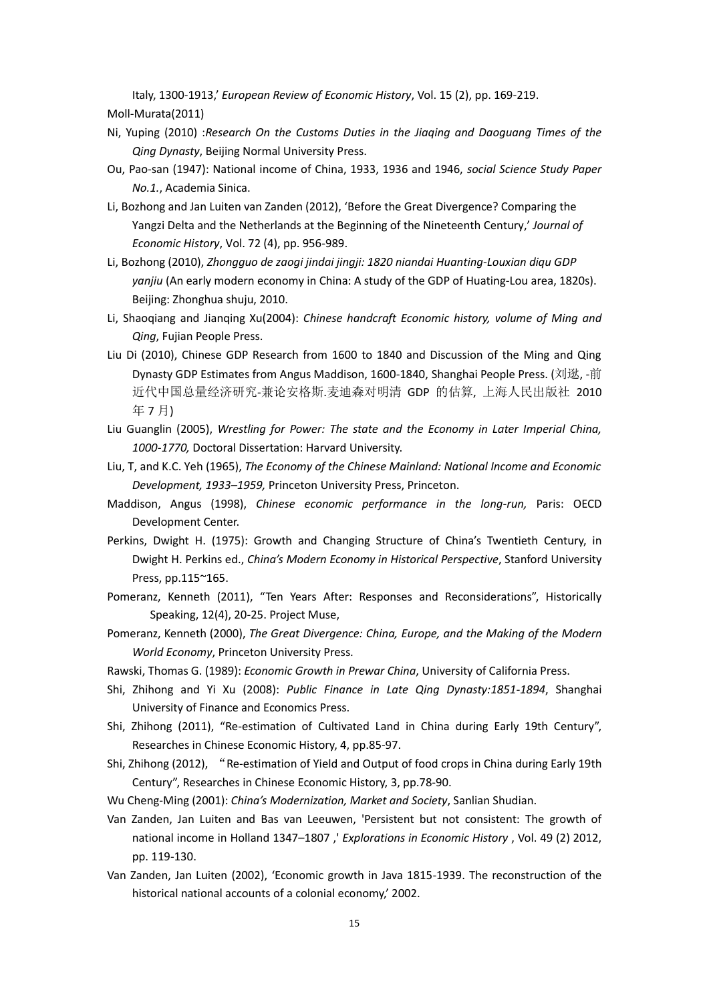Italy, 1300-1913,' *European Review of Economic History*, Vol. 15 (2), pp. 169-219.

Moll-Murata(2011)

- Ni, Yuping (2010) :*Research On the Customs Duties in the Jiaqing and Daoguang Times of the Qing Dynasty*, Beijing Normal University Press.
- Ou, Pao-san (1947): National income of China, 1933, 1936 and 1946, *social Science Study Paper No.1.*, Academia Sinica.
- Li, Bozhong and Jan Luiten van Zanden (2012), 'Before the Great Divergence? Comparing the Yangzi Delta and the Netherlands at the Beginning of the Nineteenth Century,' *Journal of Economic History*, Vol. 72 (4), pp. 956-989.
- Li, Bozhong (2010), *Zhongguo de zaogi jindai jingji: 1820 niandai Huanting-Louxian diqu GDP yanjiu* (An early modern economy in China: A study of the GDP of Huating-Lou area, 1820s). Beijing: Zhonghua shuju, 2010.
- Li, Shaoqiang and Jianqing Xu(2004): *Chinese handcraft Economic history, volume of Ming and Qing*, Fujian People Press.
- Liu Di (2010), Chinese GDP Research from 1600 to 1840 and Discussion of the Ming and Qing Dynasty GDP Estimates from Angus Maddison, 1600-1840, Shanghai People Press. (刘逖, -前 近代中国总量经济研究-兼论安格斯.麦迪森对明清 GDP 的估算, 上海人民出版社 2010 年 7 月)
- Liu Guanglin (2005), *Wrestling for Power: The state and the Economy in Later Imperial China, 1000-1770,* Doctoral Dissertation: Harvard University.
- Liu, T, and K.C. Yeh (1965), *The Economy of the Chinese Mainland: National Income and Economic Development, 1933–1959,* Princeton University Press, Princeton.
- Maddison, Angus (1998), *Chinese economic performance in the long-run,* Paris: OECD Development Center.
- Perkins, Dwight H. (1975): Growth and Changing Structure of China's Twentieth Century, in Dwight H. Perkins ed., *China's Modern Economy in Historical Perspective*, Stanford University Press, pp.115~165.
- Pomeranz, Kenneth (2011), "Ten Years After: Responses and Reconsiderations", Historically Speaking, 12(4), 20-25. Project Muse,
- Pomeranz, Kenneth (2000), *The Great Divergence: China, Europe, and the Making of the Modern World Economy*, Princeton University Press.
- Rawski, Thomas G. (1989): *Economic Growth in Prewar China*, University of California Press.
- Shi, Zhihong and Yi Xu (2008): *Public Finance in Late Qing Dynasty:1851-1894*, Shanghai University of Finance and Economics Press.
- Shi, Zhihong (2011), "Re-estimation of Cultivated Land in China during Early 19th Century", Researches in Chinese Economic History, 4, pp.85-97.
- Shi, Zhihong (2012), "Re-estimation of Yield and Output of food crops in China during Early 19th Century", Researches in Chinese Economic History, 3, pp.78-90.
- Wu Cheng-Ming (2001): *China's Modernization, Market and Society*, Sanlian Shudian.
- Van Zanden, Jan Luiten and Bas van Leeuwen, 'Persistent but not consistent: The growth of national income in Holland 1347–1807 ,' *Explorations in Economic History* , Vol. 49 (2) 2012, pp. 119-130.
- Van Zanden, Jan Luiten (2002), 'Economic growth in Java 1815-1939. The reconstruction of the historical national accounts of a colonial economy,' 2002.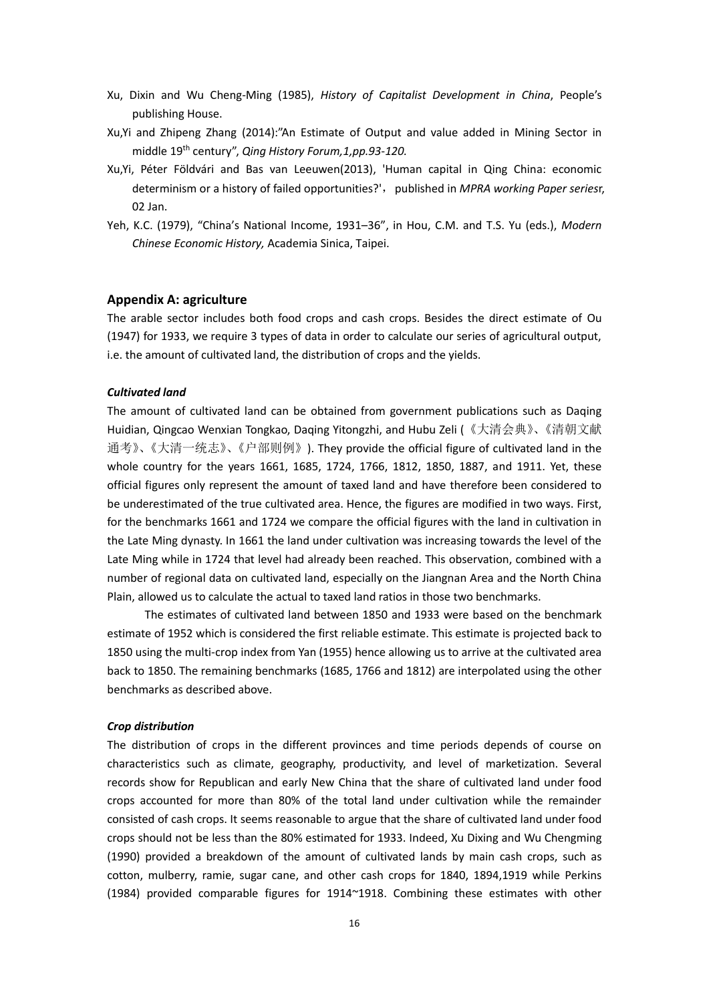- Xu, Dixin and Wu Cheng-Ming (1985), *History of Capitalist Development in China*, People's publishing House.
- Xu,Yi and Zhipeng Zhang (2014):"An Estimate of Output and value added in Mining Sector in middle 19th century", *Qing History Forum,1,pp.93-120.*
- Xu,Yi, Péter Földvári and Bas van Leeuwen(2013), 'Human capital in Qing China: economic determinism or a history of failed opportunities?', published in *MPRA working Paper seriesr*, 02 Jan.
- Yeh, K.C. (1979), "China's National Income, 1931–36", in Hou, C.M. and T.S. Yu (eds.), *Modern Chinese Economic History,* Academia Sinica, Taipei.

## **Appendix A: agriculture**

The arable sector includes both food crops and cash crops. Besides the direct estimate of Ou (1947) for 1933, we require 3 types of data in order to calculate our series of agricultural output, i.e. the amount of cultivated land, the distribution of crops and the yields.

## *Cultivated land*

The amount of cultivated land can be obtained from government publications such as Daqing Huidian, Qingcao Wenxian Tongkao, Daqing Yitongzhi, and Hubu Zeli (《大清会典》、《清朝文献 通考》、《大清一统志》、《户部则例》). They provide the official figure of cultivated land in the whole country for the years 1661, 1685, 1724, 1766, 1812, 1850, 1887, and 1911. Yet, these official figures only represent the amount of taxed land and have therefore been considered to be underestimated of the true cultivated area. Hence, the figures are modified in two ways. First, for the benchmarks 1661 and 1724 we compare the official figures with the land in cultivation in the Late Ming dynasty. In 1661 the land under cultivation was increasing towards the level of the Late Ming while in 1724 that level had already been reached. This observation, combined with a number of regional data on cultivated land, especially on the Jiangnan Area and the North China Plain, allowed us to calculate the actual to taxed land ratios in those two benchmarks.

The estimates of cultivated land between 1850 and 1933 were based on the benchmark estimate of 1952 which is considered the first reliable estimate. This estimate is projected back to 1850 using the multi-crop index from Yan (1955) hence allowing us to arrive at the cultivated area back to 1850. The remaining benchmarks (1685, 1766 and 1812) are interpolated using the other benchmarks as described above.

#### *Crop distribution*

The distribution of crops in the different provinces and time periods depends of course on characteristics such as climate, geography, productivity, and level of marketization. Several records show for Republican and early New China that the share of cultivated land under food crops accounted for more than 80% of the total land under cultivation while the remainder consisted of cash crops. It seems reasonable to argue that the share of cultivated land under food crops should not be less than the 80% estimated for 1933. Indeed, Xu Dixing and Wu Chengming (1990) provided a breakdown of the amount of cultivated lands by main cash crops, such as cotton, mulberry, ramie, sugar cane, and other cash crops for 1840, 1894,1919 while Perkins (1984) provided comparable figures for 1914~1918. Combining these estimates with other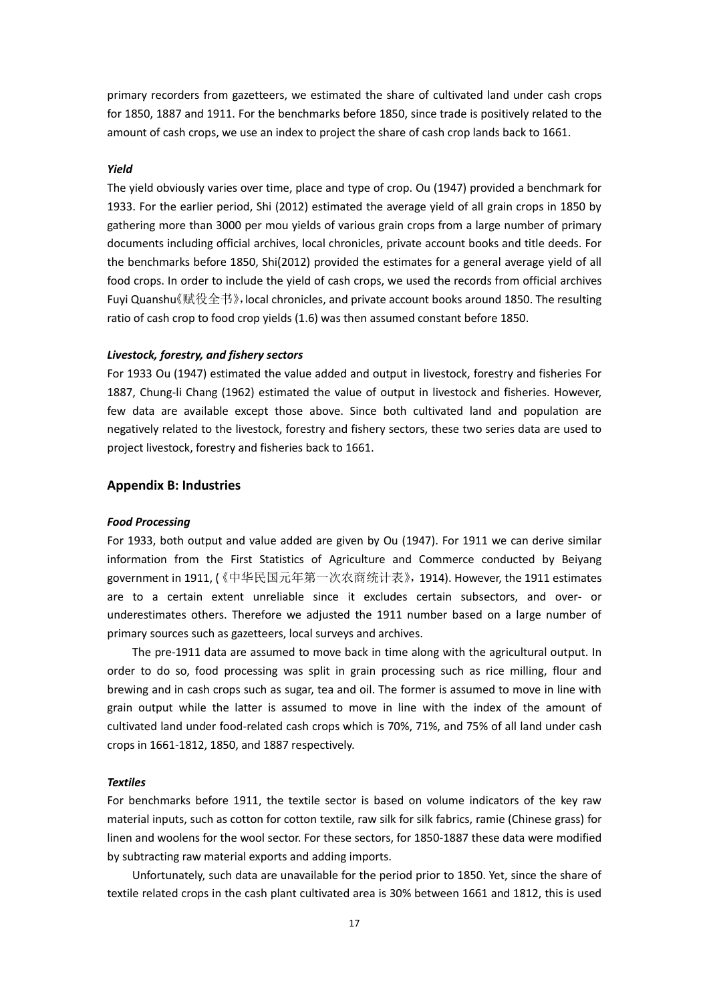primary recorders from gazetteers, we estimated the share of cultivated land under cash crops for 1850, 1887 and 1911. For the benchmarks before 1850, since trade is positively related to the amount of cash crops, we use an index to project the share of cash crop lands back to 1661.

#### *Yield*

The yield obviously varies over time, place and type of crop. Ou (1947) provided a benchmark for 1933. For the earlier period, Shi (2012) estimated the average yield of all grain crops in 1850 by gathering more than 3000 per mou yields of various grain crops from a large number of primary documents including official archives, local chronicles, private account books and title deeds. For the benchmarks before 1850, Shi(2012) provided the estimates for a general average yield of all food crops. In order to include the yield of cash crops, we used the records from official archives Fuyi Quanshu《赋役全书》,local chronicles, and private account books around 1850. The resulting ratio of cash crop to food crop yields (1.6) was then assumed constant before 1850.

#### *Livestock, forestry, and fishery sectors*

For 1933 Ou (1947) estimated the value added and output in livestock, forestry and fisheries For 1887, Chung-li Chang (1962) estimated the value of output in livestock and fisheries. However, few data are available except those above. Since both cultivated land and population are negatively related to the livestock, forestry and fishery sectors, these two series data are used to project livestock, forestry and fisheries back to 1661.

#### **Appendix B: Industries**

#### *Food Processing*

For 1933, both output and value added are given by Ou (1947). For 1911 we can derive similar information from the First Statistics of Agriculture and Commerce conducted by Beiyang government in 1911, (《中华民国元年第一次农商统计表》,1914). However, the 1911 estimates are to a certain extent unreliable since it excludes certain subsectors, and over- or underestimates others. Therefore we adjusted the 1911 number based on a large number of primary sources such as gazetteers, local surveys and archives.

The pre-1911 data are assumed to move back in time along with the agricultural output. In order to do so, food processing was split in grain processing such as rice milling, flour and brewing and in cash crops such as sugar, tea and oil. The former is assumed to move in line with grain output while the latter is assumed to move in line with the index of the amount of cultivated land under food-related cash crops which is 70%, 71%, and 75% of all land under cash crops in 1661-1812, 1850, and 1887 respectively.

#### *Textiles*

For benchmarks before 1911, the textile sector is based on volume indicators of the key raw material inputs, such as cotton for cotton textile, raw silk for silk fabrics, ramie (Chinese grass) for linen and woolens for the wool sector. For these sectors, for 1850-1887 these data were modified by subtracting raw material exports and adding imports.

Unfortunately, such data are unavailable for the period prior to 1850. Yet, since the share of textile related crops in the cash plant cultivated area is 30% between 1661 and 1812, this is used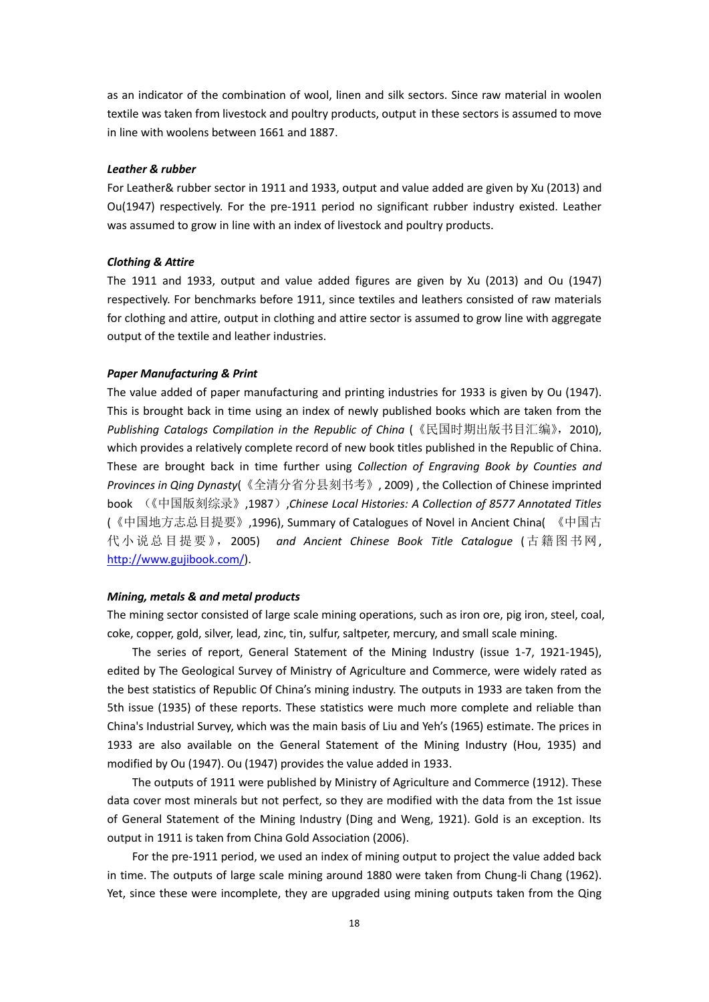as an indicator of the combination of wool, linen and silk sectors. Since raw material in woolen textile was taken from livestock and poultry products, output in these sectors is assumed to move in line with woolens between 1661 and 1887.

#### *Leather & rubber*

For Leather& rubber sector in 1911 and 1933, output and value added are given by Xu (2013) and Ou(1947) respectively. For the pre-1911 period no significant rubber industry existed. Leather was assumed to grow in line with an index of livestock and poultry products.

#### *Clothing & Attire*

The 1911 and 1933, output and value added figures are given by Xu (2013) and Ou (1947) respectively. For benchmarks before 1911, since textiles and leathers consisted of raw materials for clothing and attire, output in clothing and attire sector is assumed to grow line with aggregate output of the textile and leather industries.

#### *Paper Manufacturing & Print*

The value added of paper manufacturing and printing industries for 1933 is given by Ou (1947). This is brought back in time using an index of newly published books which are taken from the Publishing Catalogs Compilation in the Republic of China (《民国时期出版书目汇编》, 2010), which provides a relatively complete record of new book titles published in the Republic of China. These are brought back in time further using *Collection of Engraving Book by Counties and Provinces in Qing Dynasty*(《全清分省分县刻书考》, 2009) , the Collection of Chinese imprinted book (《中国版刻综录》,1987),*Chinese Local Histories: A Collection of 8577 Annotated Titles* (《中国地方志总目提要》,1996), Summary of Catalogues of Novel in Ancient China( 《中国古 代小说总目提要》,2005) *and Ancient Chinese Book Title Catalogue* (古籍图书网, [http://www.gujibook.com/\)](http://www.gujibook.com/).

#### *Mining, metals & and metal products*

The mining sector consisted of large scale mining operations, such as iron ore, pig iron, steel, coal, coke, copper, gold, silver, lead, zinc, tin, sulfur, saltpeter, mercury, and small scale mining.

The series of report, General Statement of the Mining Industry (issue 1-7, 1921-1945), edited by The Geological Survey of Ministry of Agriculture and Commerce, were widely rated as the best statistics of Republic Of China's mining industry. The outputs in 1933 are taken from the 5th issue (1935) of these reports. These statistics were much more complete and reliable than China's Industrial Survey, which was the main basis of Liu and Yeh's (1965) estimate. The prices in 1933 are also available on the General Statement of the Mining Industry (Hou, 1935) and modified by Ou (1947). Ou (1947) provides the value added in 1933.

The outputs of 1911 were published by Ministry of Agriculture and Commerce (1912). These data cover most minerals but not perfect, so they are modified with the data from the 1st issue of General Statement of the Mining Industry (Ding and Weng, 1921). Gold is an exception. Its output in 1911 is taken from China Gold Association (2006).

For the pre-1911 period, we used an index of mining output to project the value added back in time. The outputs of large scale mining around 1880 were taken from Chung-li Chang (1962). Yet, since these were incomplete, they are upgraded using mining outputs taken from the Qing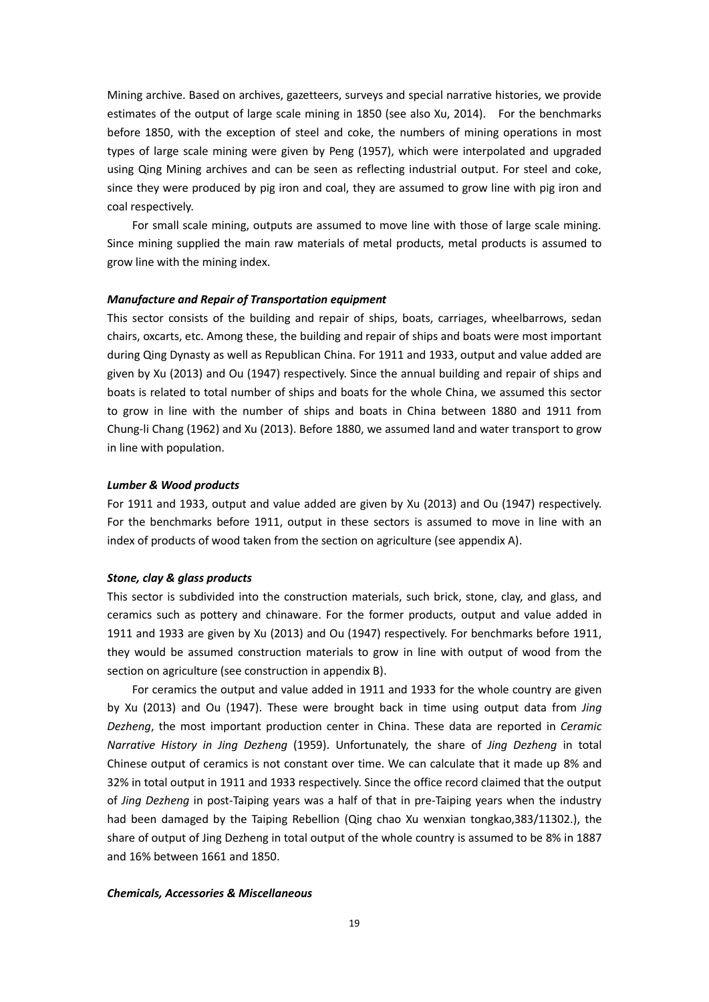Mining archive. Based on archives, gazetteers, surveys and special narrative histories, we provide estimates of the output of large scale mining in 1850 (see also Xu, 2014). For the benchmarks before 1850, with the exception of steel and coke, the numbers of mining operations in most types of large scale mining were given by Peng (1957), which were interpolated and upgraded using Qing Mining archives and can be seen as reflecting industrial output. For steel and coke, since they were produced by pig iron and coal, they are assumed to grow line with pig iron and coal respectively.

For small scale mining, outputs are assumed to move line with those of large scale mining. Since mining supplied the main raw materials of metal products, metal products is assumed to grow line with the mining index.

#### *Manufacture and Repair of Transportation equipment*

This sector consists of the building and repair of ships, boats, carriages, wheelbarrows, sedan chairs, oxcarts, etc. Among these, the building and repair of ships and boats were most important during Qing Dynasty as well as Republican China. For 1911 and 1933, output and value added are given by Xu (2013) and Ou (1947) respectively. Since the annual building and repair of ships and boats is related to total number of ships and boats for the whole China, we assumed this sector to grow in line with the number of ships and boats in China between 1880 and 1911 from Chung-li Chang (1962) and Xu (2013). Before 1880, we assumed land and water transport to grow in line with population.

#### *Lumber & Wood products*

For 1911 and 1933, output and value added are given by Xu (2013) and Ou (1947) respectively. For the benchmarks before 1911, output in these sectors is assumed to move in line with an index of products of wood taken from the section on agriculture (see appendix A).

## *Stone, clay & glass products*

This sector is subdivided into the construction materials, such brick, stone, clay, and glass, and ceramics such as pottery and chinaware. For the former products, output and value added in 1911 and 1933 are given by Xu (2013) and Ou (1947) respectively. For benchmarks before 1911, they would be assumed construction materials to grow in line with output of wood from the section on agriculture (see construction in appendix B).

For ceramics the output and value added in 1911 and 1933 for the whole country are given by Xu (2013) and Ou (1947). These were brought back in time using output data from *Jing Dezheng*, the most important production center in China. These data are reported in *Ceramic Narrative History in Jing Dezheng* (1959). Unfortunately, the share of *Jing Dezheng* in total Chinese output of ceramics is not constant over time. We can calculate that it made up 8% and 32% in total output in 1911 and 1933 respectively. Since the office record claimed that the output of *Jing Dezheng* in post-Taiping years was a half of that in pre-Taiping years when the industry had been damaged by the Taiping Rebellion (Qing chao Xu wenxian tongkao,383/11302.), the share of output of Jing Dezheng in total output of the whole country is assumed to be 8% in 1887 and 16% between 1661 and 1850.

#### *Chemicals, Accessories & Miscellaneous*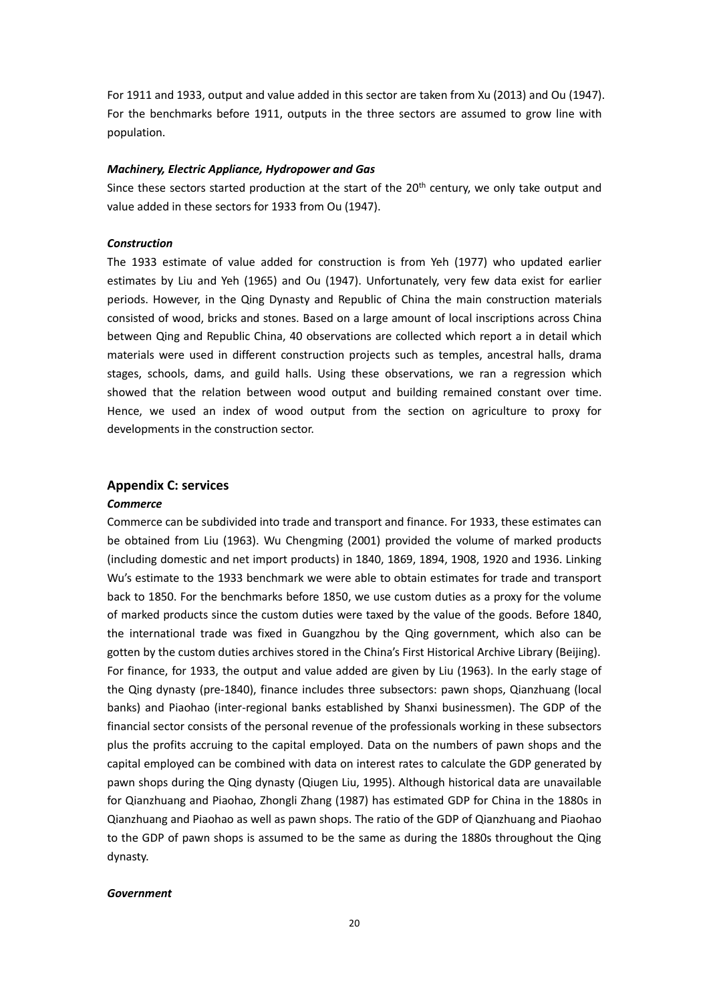For 1911 and 1933, output and value added in this sector are taken from Xu (2013) and Ou (1947). For the benchmarks before 1911, outputs in the three sectors are assumed to grow line with population.

#### *Machinery, Electric Appliance, Hydropower and Gas*

Since these sectors started production at the start of the 20<sup>th</sup> century, we only take output and value added in these sectors for 1933 from Ou (1947).

## *Construction*

The 1933 estimate of value added for construction is from Yeh (1977) who updated earlier estimates by Liu and Yeh (1965) and Ou (1947). Unfortunately, very few data exist for earlier periods. However, in the Qing Dynasty and Republic of China the main construction materials consisted of wood, bricks and stones. Based on a large amount of local inscriptions across China between Qing and Republic China, 40 observations are collected which report a in detail which materials were used in different construction projects such as temples, ancestral halls, drama stages, schools, dams, and guild halls. Using these observations, we ran a regression which showed that the relation between wood output and building remained constant over time. Hence, we used an index of wood output from the section on agriculture to proxy for developments in the construction sector.

## **Appendix C: services**

#### *Commerce*

Commerce can be subdivided into trade and transport and finance. For 1933, these estimates can be obtained from Liu (1963). Wu Chengming (2001) provided the volume of marked products (including domestic and net import products) in 1840, 1869, 1894, 1908, 1920 and 1936. Linking Wu's estimate to the 1933 benchmark we were able to obtain estimates for trade and transport back to 1850. For the benchmarks before 1850, we use custom duties as a proxy for the volume of marked products since the custom duties were taxed by the value of the goods. Before 1840, the international trade was fixed in Guangzhou by the Qing government, which also can be gotten by the custom duties archives stored in the China's First Historical Archive Library (Beijing). For finance, for 1933, the output and value added are given by Liu (1963). In the early stage of the Qing dynasty (pre-1840), finance includes three subsectors: pawn shops, Qianzhuang (local banks) and Piaohao (inter-regional banks established by Shanxi businessmen). The GDP of the financial sector consists of the personal revenue of the professionals working in these subsectors plus the profits accruing to the capital employed. Data on the numbers of pawn shops and the capital employed can be combined with data on interest rates to calculate the GDP generated by pawn shops during the Qing dynasty (Qiugen Liu, 1995). Although historical data are unavailable for Qianzhuang and Piaohao, Zhongli Zhang (1987) has estimated GDP for China in the 1880s in Qianzhuang and Piaohao as well as pawn shops. The ratio of the GDP of Qianzhuang and Piaohao to the GDP of pawn shops is assumed to be the same as during the 1880s throughout the Qing dynasty.

#### *Government*